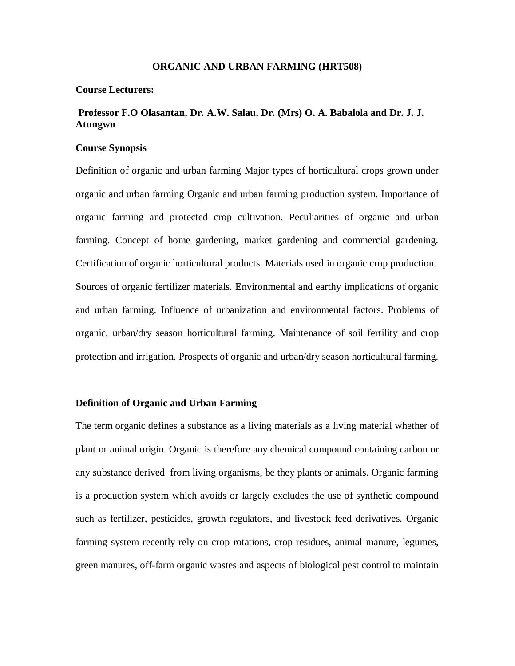#### **ORGANIC AND URBAN FARMING (HRT508)**

#### **Course Lecturers:**

# **Professor F.O Olasantan, Dr. A.W. Salau, Dr. (Mrs) O. A. Babalola and Dr. J. J. Atungwu**

### **Course Synopsis**

Definition of organic and urban farming Major types of horticultural crops grown under organic and urban farming Organic and urban farming production system. Importance of organic farming and protected crop cultivation. Peculiarities of organic and urban farming. Concept of home gardening, market gardening and commercial gardening. Certification of organic horticultural products. Materials used in organic crop production. Sources of organic fertilizer materials. Environmental and earthy implications of organic and urban farming. Influence of urbanization and environmental factors. Problems of organic, urban/dry season horticultural farming. Maintenance of soil fertility and crop protection and irrigation. Prospects of organic and urban/dry season horticultural farming.

### **Definition of Organic and Urban Farming**

The term organic defines a substance as a living materials as a living material whether of plant or animal origin. Organic is therefore any chemical compound containing carbon or any substance derived from living organisms, be they plants or animals. Organic farming is a production system which avoids or largely excludes the use of synthetic compound such as fertilizer, pesticides, growth regulators, and livestock feed derivatives. Organic farming system recently rely on crop rotations, crop residues, animal manure, legumes, green manures, off-farm organic wastes and aspects of biological pest control to maintain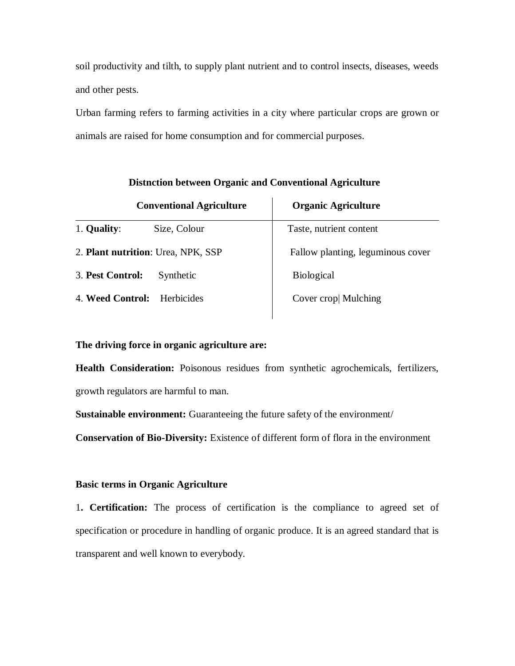soil productivity and tilth, to supply plant nutrient and to control insects, diseases, weeds and other pests.

Urban farming refers to farming activities in a city where particular crops are grown or animals are raised for home consumption and for commercial purposes.

| <b>Conventional Agriculture</b>    |              | <b>Organic Agriculture</b>        |
|------------------------------------|--------------|-----------------------------------|
| 1. Quality:                        | Size, Colour | Taste, nutrient content           |
| 2. Plant nutrition: Urea, NPK, SSP |              | Fallow planting, leguminous cover |
| 3. Pest Control:                   | Synthetic    | <b>Biological</b>                 |
| 4. Weed Control:                   | Herbicides   | Cover crop Mulching               |

# **Distnction between Organic and Conventional Agriculture**

### **The driving force in organic agriculture are:**

**Health Consideration:** Poisonous residues from synthetic agrochemicals, fertilizers, growth regulators are harmful to man.

**Sustainable environment:** Guaranteeing the future safety of the environment/

**Conservation of Bio-Diversity:** Existence of different form of flora in the environment

### **Basic terms in Organic Agriculture**

1**. Certification:** The process of certification is the compliance to agreed set of specification or procedure in handling of organic produce. It is an agreed standard that is transparent and well known to everybody.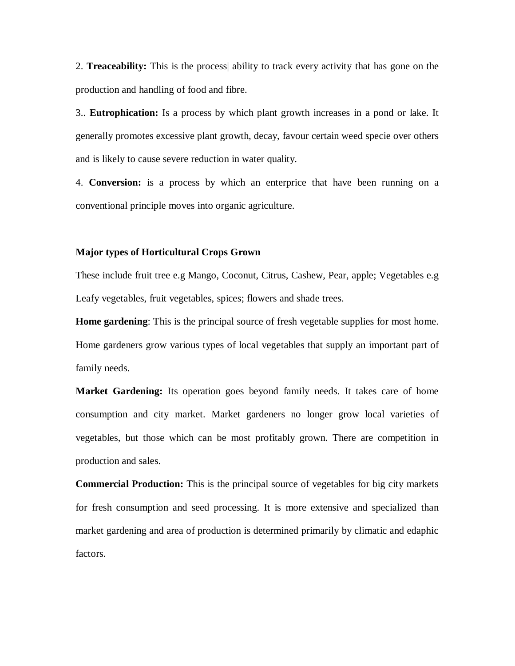2. **Treaceability:** This is the process| ability to track every activity that has gone on the production and handling of food and fibre.

3.. **Eutrophication:** Is a process by which plant growth increases in a pond or lake. It generally promotes excessive plant growth, decay, favour certain weed specie over others and is likely to cause severe reduction in water quality.

4. **Conversion:** is a process by which an enterprice that have been running on a conventional principle moves into organic agriculture.

### **Major types of Horticultural Crops Grown**

These include fruit tree e.g Mango, Coconut, Citrus, Cashew, Pear, apple; Vegetables e.g Leafy vegetables, fruit vegetables, spices; flowers and shade trees.

**Home gardening**: This is the principal source of fresh vegetable supplies for most home. Home gardeners grow various types of local vegetables that supply an important part of family needs.

**Market Gardening:** Its operation goes beyond family needs. It takes care of home consumption and city market. Market gardeners no longer grow local varieties of vegetables, but those which can be most profitably grown. There are competition in production and sales.

**Commercial Production:** This is the principal source of vegetables for big city markets for fresh consumption and seed processing. It is more extensive and specialized than market gardening and area of production is determined primarily by climatic and edaphic factors.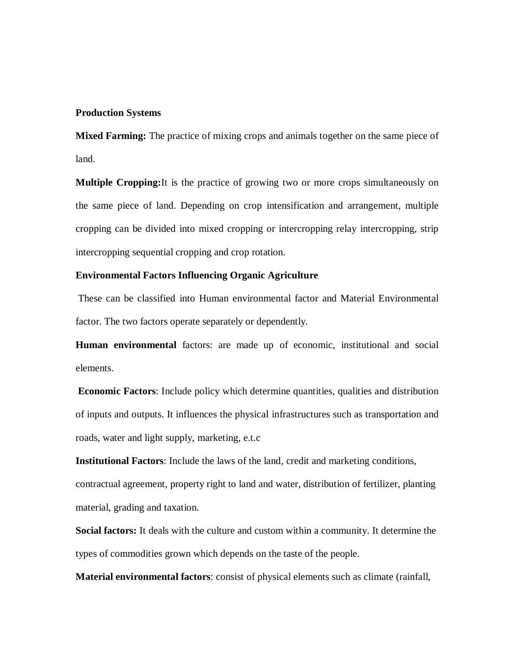### **Production Systems**

**Mixed Farming:** The practice of mixing crops and animals together on the same piece of land.

**Multiple Cropping:**It is the practice of growing two or more crops simultaneously on the same piece of land. Depending on crop intensification and arrangement, multiple cropping can be divided into mixed cropping or intercropping relay intercropping, strip intercropping sequential cropping and crop rotation.

# **Environmental Factors Influencing Organic Agriculture**

These can be classified into Human environmental factor and Material Environmental factor. The two factors operate separately or dependently.

**Human environmental** factors: are made up of economic, institutional and social elements.

**Economic Factors**: Include policy which determine quantities, qualities and distribution of inputs and outputs. It influences the physical infrastructures such as transportation and roads, water and light supply, marketing, e.t.c

**Institutional Factors**: Include the laws of the land, credit and marketing conditions, contractual agreement, property right to land and water, distribution of fertilizer, planting material, grading and taxation.

**Social factors:** It deals with the culture and custom within a community. It determine the types of commodities grown which depends on the taste of the people.

**Material environmental factors**: consist of physical elements such as climate (rainfall,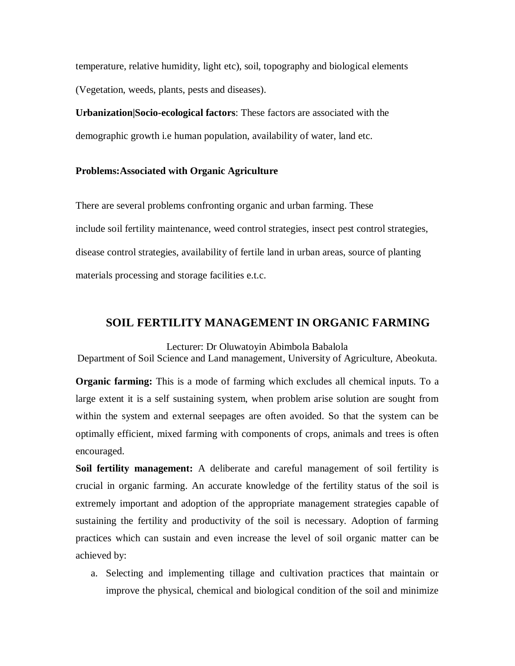temperature, relative humidity, light etc), soil, topography and biological elements (Vegetation, weeds, plants, pests and diseases).

**Urbanization|Socio-ecological factors**: These factors are associated with the demographic growth i.e human population, availability of water, land etc.

# **Problems:Associated with Organic Agriculture**

There are several problems confronting organic and urban farming. These include soil fertility maintenance, weed control strategies, insect pest control strategies, disease control strategies, availability of fertile land in urban areas, source of planting materials processing and storage facilities e.t.c.

# **SOIL FERTILITY MANAGEMENT IN ORGANIC FARMING**

Lecturer: Dr Oluwatoyin Abimbola Babalola Department of Soil Science and Land management, University of Agriculture, Abeokuta.

**Organic farming:** This is a mode of farming which excludes all chemical inputs. To a large extent it is a self sustaining system, when problem arise solution are sought from within the system and external seepages are often avoided. So that the system can be optimally efficient, mixed farming with components of crops, animals and trees is often encouraged.

**Soil fertility management:** A deliberate and careful management of soil fertility is crucial in organic farming. An accurate knowledge of the fertility status of the soil is extremely important and adoption of the appropriate management strategies capable of sustaining the fertility and productivity of the soil is necessary. Adoption of farming practices which can sustain and even increase the level of soil organic matter can be achieved by:

a. Selecting and implementing tillage and cultivation practices that maintain or improve the physical, chemical and biological condition of the soil and minimize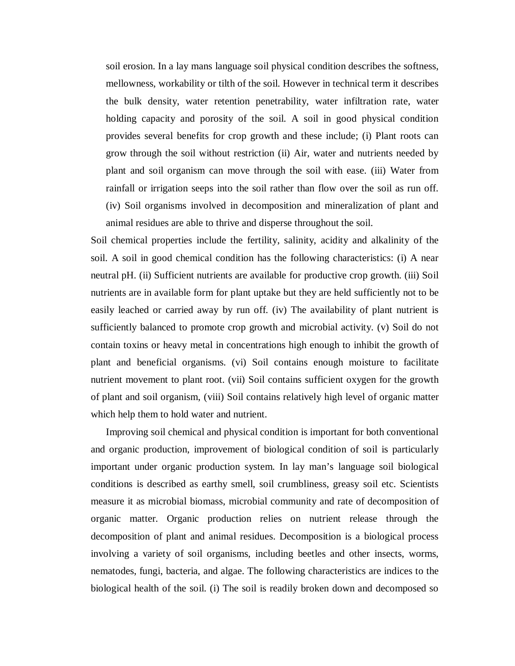soil erosion. In a lay mans language soil physical condition describes the softness, mellowness, workability or tilth of the soil. However in technical term it describes the bulk density, water retention penetrability, water infiltration rate, water holding capacity and porosity of the soil. A soil in good physical condition provides several benefits for crop growth and these include; (i) Plant roots can grow through the soil without restriction (ii) Air, water and nutrients needed by plant and soil organism can move through the soil with ease. (iii) Water from rainfall or irrigation seeps into the soil rather than flow over the soil as run off. (iv) Soil organisms involved in decomposition and mineralization of plant and animal residues are able to thrive and disperse throughout the soil.

Soil chemical properties include the fertility, salinity, acidity and alkalinity of the soil. A soil in good chemical condition has the following characteristics: (i) A near neutral pH. (ii) Sufficient nutrients are available for productive crop growth. (iii) Soil nutrients are in available form for plant uptake but they are held sufficiently not to be easily leached or carried away by run off. (iv) The availability of plant nutrient is sufficiently balanced to promote crop growth and microbial activity. (v) Soil do not contain toxins or heavy metal in concentrations high enough to inhibit the growth of plant and beneficial organisms. (vi) Soil contains enough moisture to facilitate nutrient movement to plant root. (vii) Soil contains sufficient oxygen for the growth of plant and soil organism, (viii) Soil contains relatively high level of organic matter which help them to hold water and nutrient.

Improving soil chemical and physical condition is important for both conventional and organic production, improvement of biological condition of soil is particularly important under organic production system. In lay man's language soil biological conditions is described as earthy smell, soil crumbliness, greasy soil etc. Scientists measure it as microbial biomass, microbial community and rate of decomposition of organic matter. Organic production relies on nutrient release through the decomposition of plant and animal residues. Decomposition is a biological process involving a variety of soil organisms, including beetles and other insects, worms, nematodes, fungi, bacteria, and algae. The following characteristics are indices to the biological health of the soil. (i) The soil is readily broken down and decomposed so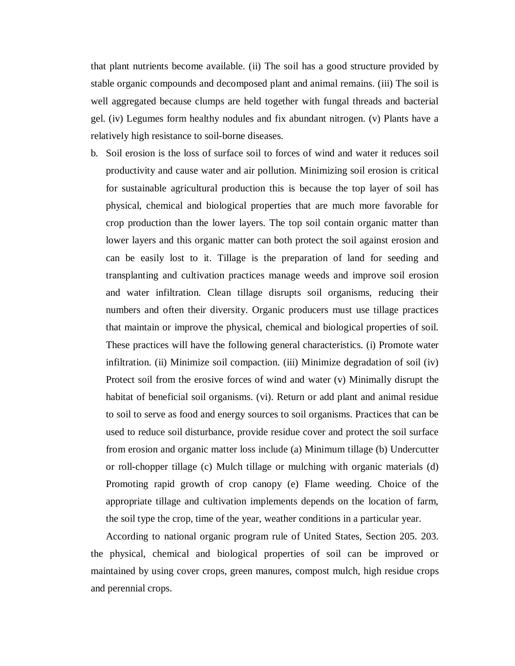that plant nutrients become available. (ii) The soil has a good structure provided by stable organic compounds and decomposed plant and animal remains. (iii) The soil is well aggregated because clumps are held together with fungal threads and bacterial gel. (iv) Legumes form healthy nodules and fix abundant nitrogen. (v) Plants have a relatively high resistance to soil-borne diseases.

b. Soil erosion is the loss of surface soil to forces of wind and water it reduces soil productivity and cause water and air pollution. Minimizing soil erosion is critical for sustainable agricultural production this is because the top layer of soil has physical, chemical and biological properties that are much more favorable for crop production than the lower layers. The top soil contain organic matter than lower layers and this organic matter can both protect the soil against erosion and can be easily lost to it. Tillage is the preparation of land for seeding and transplanting and cultivation practices manage weeds and improve soil erosion and water infiltration. Clean tillage disrupts soil organisms, reducing their numbers and often their diversity. Organic producers must use tillage practices that maintain or improve the physical, chemical and biological properties of soil. These practices will have the following general characteristics. (i) Promote water infiltration. (ii) Minimize soil compaction. (iii) Minimize degradation of soil (iv) Protect soil from the erosive forces of wind and water (v) Minimally disrupt the habitat of beneficial soil organisms. (vi). Return or add plant and animal residue to soil to serve as food and energy sources to soil organisms. Practices that can be used to reduce soil disturbance, provide residue cover and protect the soil surface from erosion and organic matter loss include (a) Minimum tillage (b) Undercutter or roll-chopper tillage (c) Mulch tillage or mulching with organic materials (d) Promoting rapid growth of crop canopy (e) Flame weeding. Choice of the appropriate tillage and cultivation implements depends on the location of farm, the soil type the crop, time of the year, weather conditions in a particular year.

 According to national organic program rule of United States, Section 205. 203. the physical, chemical and biological properties of soil can be improved or maintained by using cover crops, green manures, compost mulch, high residue crops and perennial crops.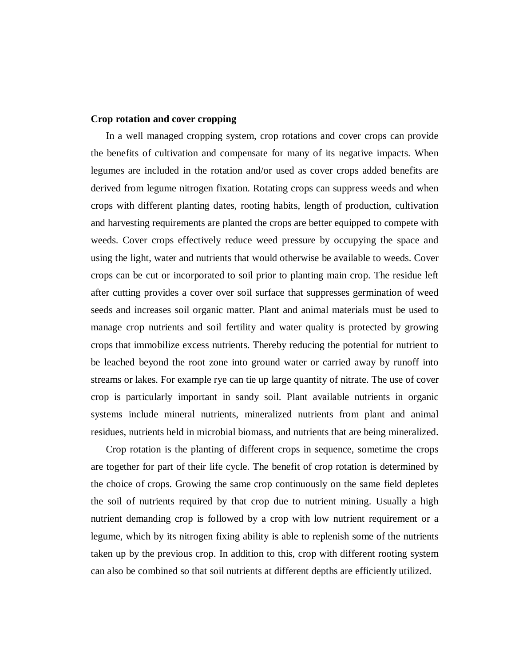### **Crop rotation and cover cropping**

In a well managed cropping system, crop rotations and cover crops can provide the benefits of cultivation and compensate for many of its negative impacts. When legumes are included in the rotation and/or used as cover crops added benefits are derived from legume nitrogen fixation. Rotating crops can suppress weeds and when crops with different planting dates, rooting habits, length of production, cultivation and harvesting requirements are planted the crops are better equipped to compete with weeds. Cover crops effectively reduce weed pressure by occupying the space and using the light, water and nutrients that would otherwise be available to weeds. Cover crops can be cut or incorporated to soil prior to planting main crop. The residue left after cutting provides a cover over soil surface that suppresses germination of weed seeds and increases soil organic matter. Plant and animal materials must be used to manage crop nutrients and soil fertility and water quality is protected by growing crops that immobilize excess nutrients. Thereby reducing the potential for nutrient to be leached beyond the root zone into ground water or carried away by runoff into streams or lakes. For example rye can tie up large quantity of nitrate. The use of cover crop is particularly important in sandy soil. Plant available nutrients in organic systems include mineral nutrients, mineralized nutrients from plant and animal residues, nutrients held in microbial biomass, and nutrients that are being mineralized.

Crop rotation is the planting of different crops in sequence, sometime the crops are together for part of their life cycle. The benefit of crop rotation is determined by the choice of crops. Growing the same crop continuously on the same field depletes the soil of nutrients required by that crop due to nutrient mining. Usually a high nutrient demanding crop is followed by a crop with low nutrient requirement or a legume, which by its nitrogen fixing ability is able to replenish some of the nutrients taken up by the previous crop. In addition to this, crop with different rooting system can also be combined so that soil nutrients at different depths are efficiently utilized.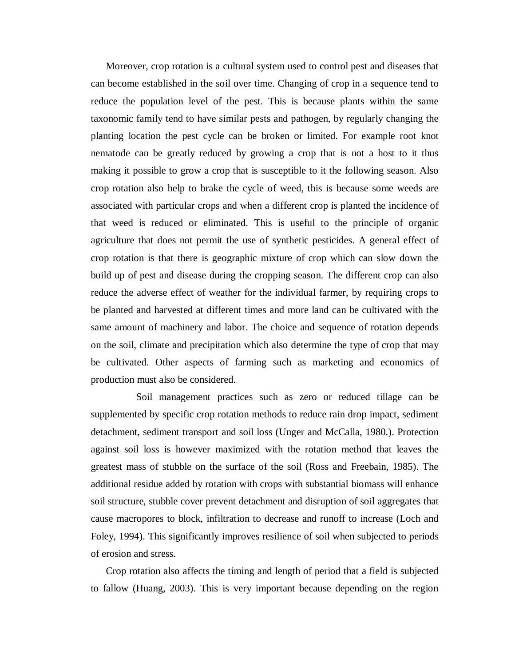Moreover, crop rotation is a cultural system used to control pest and diseases that can become established in the soil over time. Changing of crop in a sequence tend to reduce the population level of the pest. This is because plants within the same taxonomic family tend to have similar pests and pathogen, by regularly changing the planting location the pest cycle can be broken or limited. For example root knot nematode can be greatly reduced by growing a crop that is not a host to it thus making it possible to grow a crop that is susceptible to it the following season. Also crop rotation also help to brake the cycle of weed, this is because some weeds are associated with particular crops and when a different crop is planted the incidence of that weed is reduced or eliminated. This is useful to the principle of organic agriculture that does not permit the use of synthetic pesticides. A general effect of crop rotation is that there is geographic mixture of crop which can slow down the build up of pest and disease during the cropping season. The different crop can also reduce the adverse effect of weather for the individual farmer, by requiring crops to be planted and harvested at different times and more land can be cultivated with the same amount of machinery and labor. The choice and sequence of rotation depends on the soil, climate and precipitation which also determine the type of crop that may be cultivated. Other aspects of farming such as marketing and economics of production must also be considered.

Soil management practices such as zero or reduced tillage can be supplemented by specific crop rotation methods to reduce rain drop impact, sediment detachment, sediment transport and soil loss (Unger and McCalla, 1980.). Protection against soil loss is however maximized with the rotation method that leaves the greatest mass of stubble on the surface of the soil (Ross and Freebain, 1985). The additional residue added by rotation with crops with substantial biomass will enhance soil structure, stubble cover prevent detachment and disruption of soil aggregates that cause macropores to block, infiltration to decrease and runoff to increase (Loch and Foley, 1994). This significantly improves resilience of soil when subjected to periods of erosion and stress.

Crop rotation also affects the timing and length of period that a field is subjected to fallow (Huang, 2003). This is very important because depending on the region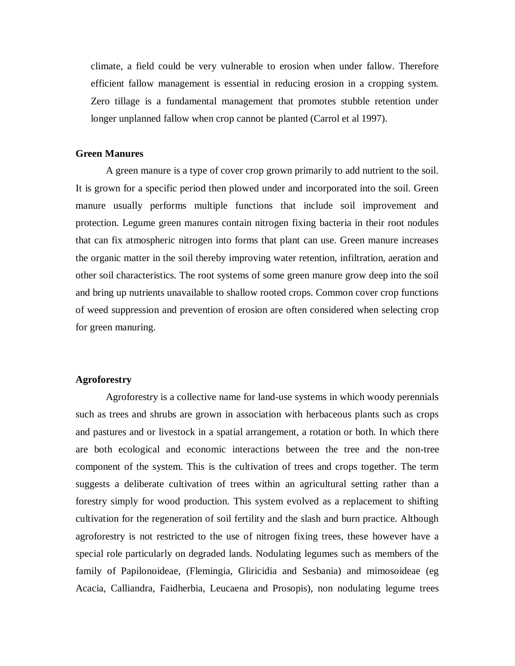climate, a field could be very vulnerable to erosion when under fallow. Therefore efficient fallow management is essential in reducing erosion in a cropping system. Zero tillage is a fundamental management that promotes stubble retention under longer unplanned fallow when crop cannot be planted (Carrol et al 1997).

### **Green Manures**

A green manure is a type of cover crop grown primarily to add nutrient to the soil. It is grown for a specific period then plowed under and incorporated into the soil. Green manure usually performs multiple functions that include soil improvement and protection. Legume green manures contain nitrogen fixing bacteria in their root nodules that can fix atmospheric nitrogen into forms that plant can use. Green manure increases the organic matter in the soil thereby improving water retention, infiltration, aeration and other soil characteristics. The root systems of some green manure grow deep into the soil and bring up nutrients unavailable to shallow rooted crops. Common cover crop functions of weed suppression and prevention of erosion are often considered when selecting crop for green manuring.

# **Agroforestry**

Agroforestry is a collective name for land-use systems in which woody perennials such as trees and shrubs are grown in association with herbaceous plants such as crops and pastures and or livestock in a spatial arrangement, a rotation or both. In which there are both ecological and economic interactions between the tree and the non-tree component of the system. This is the cultivation of trees and crops together. The term suggests a deliberate cultivation of trees within an agricultural setting rather than a forestry simply for wood production. This system evolved as a replacement to shifting cultivation for the regeneration of soil fertility and the slash and burn practice. Although agroforestry is not restricted to the use of nitrogen fixing trees, these however have a special role particularly on degraded lands. Nodulating legumes such as members of the family of Papilonoideae, (Flemingia, Gliricidia and Sesbania) and mimosoideae (eg Acacia, Calliandra, Faidherbia, Leucaena and Prosopis), non nodulating legume trees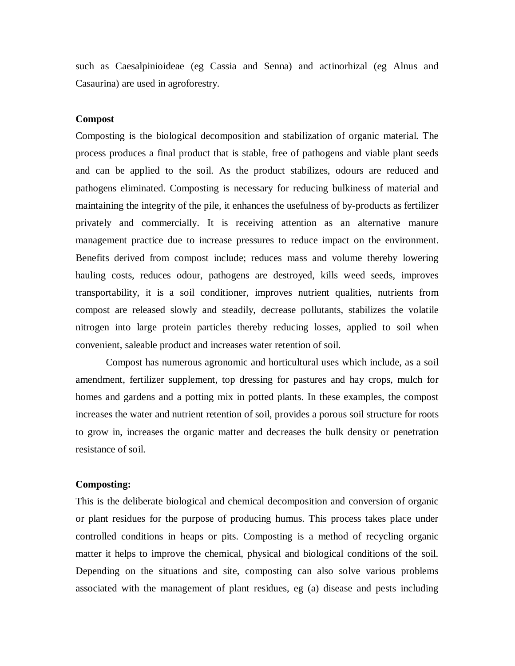such as Caesalpinioideae (eg Cassia and Senna) and actinorhizal (eg Alnus and Casaurina) are used in agroforestry.

### **Compost**

Composting is the biological decomposition and stabilization of organic material. The process produces a final product that is stable, free of pathogens and viable plant seeds and can be applied to the soil. As the product stabilizes, odours are reduced and pathogens eliminated. Composting is necessary for reducing bulkiness of material and maintaining the integrity of the pile, it enhances the usefulness of by-products as fertilizer privately and commercially. It is receiving attention as an alternative manure management practice due to increase pressures to reduce impact on the environment. Benefits derived from compost include; reduces mass and volume thereby lowering hauling costs, reduces odour, pathogens are destroyed, kills weed seeds, improves transportability, it is a soil conditioner, improves nutrient qualities, nutrients from compost are released slowly and steadily, decrease pollutants, stabilizes the volatile nitrogen into large protein particles thereby reducing losses, applied to soil when convenient, saleable product and increases water retention of soil.

Compost has numerous agronomic and horticultural uses which include, as a soil amendment, fertilizer supplement, top dressing for pastures and hay crops, mulch for homes and gardens and a potting mix in potted plants. In these examples, the compost increases the water and nutrient retention of soil, provides a porous soil structure for roots to grow in, increases the organic matter and decreases the bulk density or penetration resistance of soil.

### **Composting:**

This is the deliberate biological and chemical decomposition and conversion of organic or plant residues for the purpose of producing humus. This process takes place under controlled conditions in heaps or pits. Composting is a method of recycling organic matter it helps to improve the chemical, physical and biological conditions of the soil. Depending on the situations and site, composting can also solve various problems associated with the management of plant residues, eg (a) disease and pests including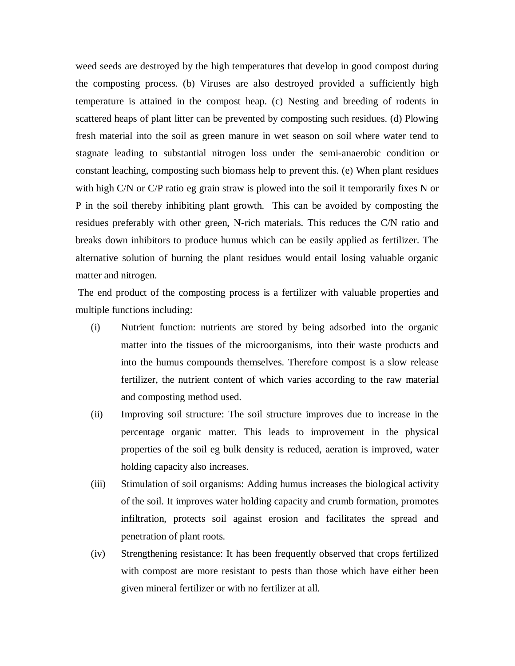weed seeds are destroyed by the high temperatures that develop in good compost during the composting process. (b) Viruses are also destroyed provided a sufficiently high temperature is attained in the compost heap. (c) Nesting and breeding of rodents in scattered heaps of plant litter can be prevented by composting such residues. (d) Plowing fresh material into the soil as green manure in wet season on soil where water tend to stagnate leading to substantial nitrogen loss under the semi-anaerobic condition or constant leaching, composting such biomass help to prevent this. (e) When plant residues with high C/N or C/P ratio eg grain straw is plowed into the soil it temporarily fixes N or P in the soil thereby inhibiting plant growth. This can be avoided by composting the residues preferably with other green, N-rich materials. This reduces the C/N ratio and breaks down inhibitors to produce humus which can be easily applied as fertilizer. The alternative solution of burning the plant residues would entail losing valuable organic matter and nitrogen.

The end product of the composting process is a fertilizer with valuable properties and multiple functions including:

- (i) Nutrient function: nutrients are stored by being adsorbed into the organic matter into the tissues of the microorganisms, into their waste products and into the humus compounds themselves. Therefore compost is a slow release fertilizer, the nutrient content of which varies according to the raw material and composting method used.
- (ii) Improving soil structure: The soil structure improves due to increase in the percentage organic matter. This leads to improvement in the physical properties of the soil eg bulk density is reduced, aeration is improved, water holding capacity also increases.
- (iii) Stimulation of soil organisms: Adding humus increases the biological activity of the soil. It improves water holding capacity and crumb formation, promotes infiltration, protects soil against erosion and facilitates the spread and penetration of plant roots.
- (iv) Strengthening resistance: It has been frequently observed that crops fertilized with compost are more resistant to pests than those which have either been given mineral fertilizer or with no fertilizer at all.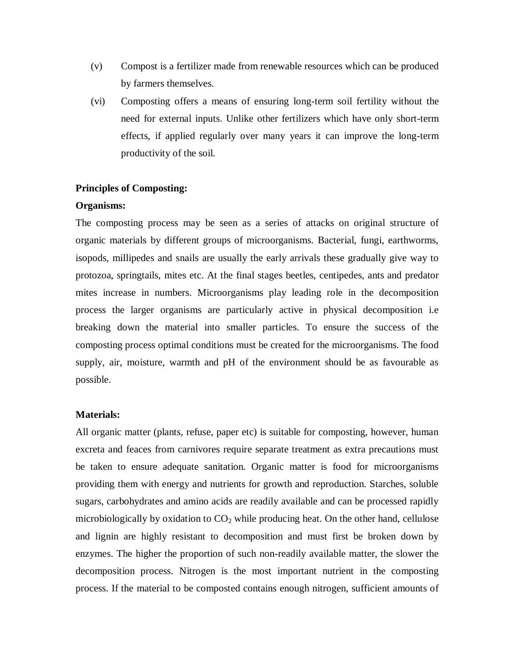- (v) Compost is a fertilizer made from renewable resources which can be produced by farmers themselves.
- (vi) Composting offers a means of ensuring long-term soil fertility without the need for external inputs. Unlike other fertilizers which have only short-term effects, if applied regularly over many years it can improve the long-term productivity of the soil.

### **Principles of Composting:**

### **Organisms:**

The composting process may be seen as a series of attacks on original structure of organic materials by different groups of microorganisms. Bacterial, fungi, earthworms, isopods, millipedes and snails are usually the early arrivals these gradually give way to protozoa, springtails, mites etc. At the final stages beetles, centipedes, ants and predator mites increase in numbers. Microorganisms play leading role in the decomposition process the larger organisms are particularly active in physical decomposition i.e breaking down the material into smaller particles. To ensure the success of the composting process optimal conditions must be created for the microorganisms. The food supply, air, moisture, warmth and pH of the environment should be as favourable as possible.

### **Materials:**

All organic matter (plants, refuse, paper etc) is suitable for composting, however, human excreta and feaces from carnivores require separate treatment as extra precautions must be taken to ensure adequate sanitation. Organic matter is food for microorganisms providing them with energy and nutrients for growth and reproduction. Starches, soluble sugars, carbohydrates and amino acids are readily available and can be processed rapidly microbiologically by oxidation to  $CO<sub>2</sub>$  while producing heat. On the other hand, cellulose and lignin are highly resistant to decomposition and must first be broken down by enzymes. The higher the proportion of such non-readily available matter, the slower the decomposition process. Nitrogen is the most important nutrient in the composting process. If the material to be composted contains enough nitrogen, sufficient amounts of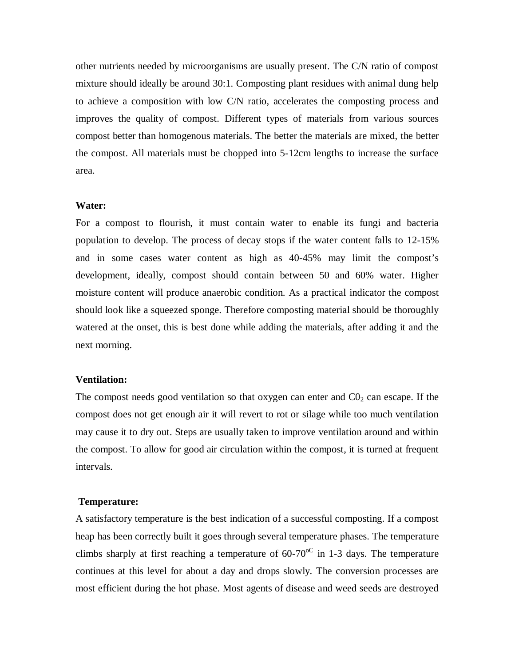other nutrients needed by microorganisms are usually present. The C/N ratio of compost mixture should ideally be around 30:1. Composting plant residues with animal dung help to achieve a composition with low C/N ratio, accelerates the composting process and improves the quality of compost. Different types of materials from various sources compost better than homogenous materials. The better the materials are mixed, the better the compost. All materials must be chopped into 5-12cm lengths to increase the surface area.

#### **Water:**

For a compost to flourish, it must contain water to enable its fungi and bacteria population to develop. The process of decay stops if the water content falls to 12-15% and in some cases water content as high as 40-45% may limit the compost's development, ideally, compost should contain between 50 and 60% water. Higher moisture content will produce anaerobic condition. As a practical indicator the compost should look like a squeezed sponge. Therefore composting material should be thoroughly watered at the onset, this is best done while adding the materials, after adding it and the next morning.

### **Ventilation:**

The compost needs good ventilation so that oxygen can enter and  $CO<sub>2</sub>$  can escape. If the compost does not get enough air it will revert to rot or silage while too much ventilation may cause it to dry out. Steps are usually taken to improve ventilation around and within the compost. To allow for good air circulation within the compost, it is turned at frequent intervals.

#### **Temperature:**

A satisfactory temperature is the best indication of a successful composting. If a compost heap has been correctly built it goes through several temperature phases. The temperature climbs sharply at first reaching a temperature of  $60-70^{\circ}$  in 1-3 days. The temperature continues at this level for about a day and drops slowly. The conversion processes are most efficient during the hot phase. Most agents of disease and weed seeds are destroyed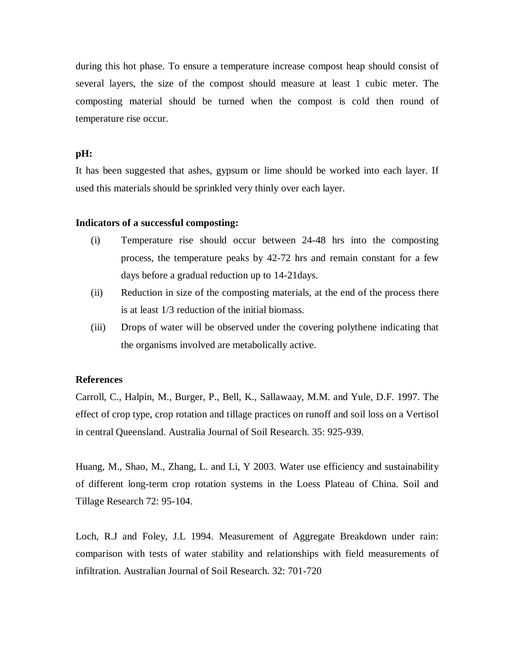during this hot phase. To ensure a temperature increase compost heap should consist of several layers, the size of the compost should measure at least 1 cubic meter. The composting material should be turned when the compost is cold then round of temperature rise occur.

# **pH:**

It has been suggested that ashes, gypsum or lime should be worked into each layer. If used this materials should be sprinkled very thinly over each layer.

### **Indicators of a successful composting:**

- (i) Temperature rise should occur between 24-48 hrs into the composting process, the temperature peaks by 42-72 hrs and remain constant for a few days before a gradual reduction up to 14-21days.
- (ii) Reduction in size of the composting materials, at the end of the process there is at least 1/3 reduction of the initial biomass.
- (iii) Drops of water will be observed under the covering polythene indicating that the organisms involved are metabolically active.

### **References**

Carroll, C., Halpin, M., Burger, P., Bell, K., Sallawaay, M.M. and Yule, D.F. 1997. The effect of crop type, crop rotation and tillage practices on runoff and soil loss on a Vertisol in central Queensland. Australia Journal of Soil Research. 35: 925-939.

Huang, M., Shao, M., Zhang, L. and Li, Y 2003. Water use efficiency and sustainability of different long-term crop rotation systems in the Loess Plateau of China. Soil and Tillage Research 72: 95-104.

Loch, R.J and Foley, J.L 1994. Measurement of Aggregate Breakdown under rain: comparison with tests of water stability and relationships with field measurements of infiltration. Australian Journal of Soil Research. 32: 701-720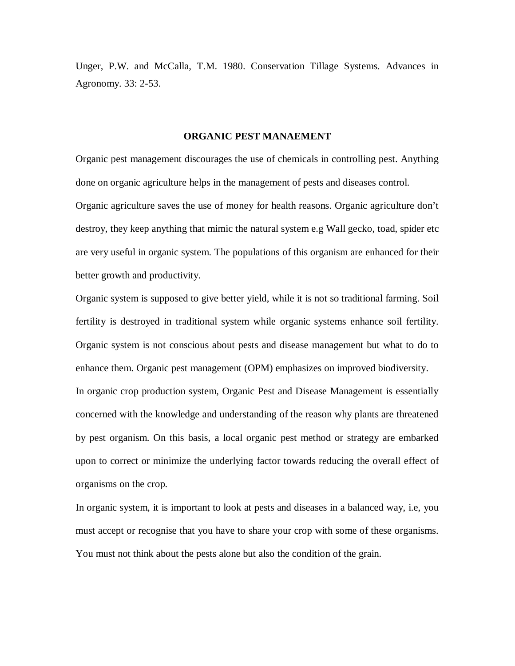Unger, P.W. and McCalla, T.M. 1980. Conservation Tillage Systems. Advances in Agronomy. 33: 2-53.

#### **ORGANIC PEST MANAEMENT**

Organic pest management discourages the use of chemicals in controlling pest. Anything done on organic agriculture helps in the management of pests and diseases control.

Organic agriculture saves the use of money for health reasons. Organic agriculture don't destroy, they keep anything that mimic the natural system e.g Wall gecko, toad, spider etc are very useful in organic system. The populations of this organism are enhanced for their better growth and productivity.

Organic system is supposed to give better yield, while it is not so traditional farming. Soil fertility is destroyed in traditional system while organic systems enhance soil fertility. Organic system is not conscious about pests and disease management but what to do to enhance them. Organic pest management (OPM) emphasizes on improved biodiversity. In organic crop production system, Organic Pest and Disease Management is essentially concerned with the knowledge and understanding of the reason why plants are threatened by pest organism. On this basis, a local organic pest method or strategy are embarked upon to correct or minimize the underlying factor towards reducing the overall effect of organisms on the crop.

In organic system, it is important to look at pests and diseases in a balanced way, i.e, you must accept or recognise that you have to share your crop with some of these organisms. You must not think about the pests alone but also the condition of the grain.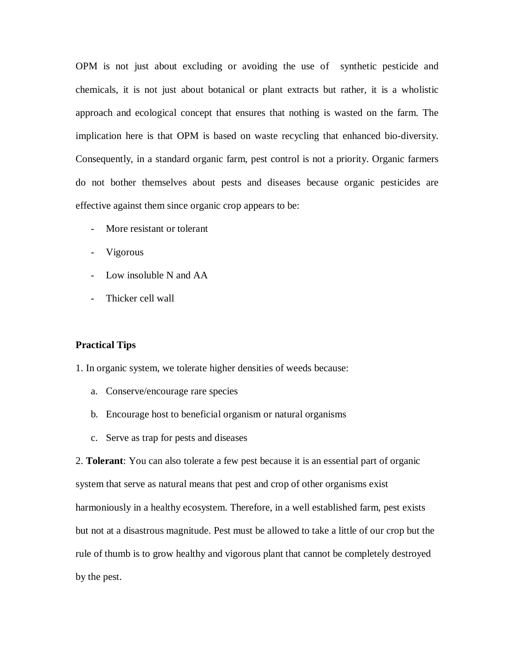OPM is not just about excluding or avoiding the use of synthetic pesticide and chemicals, it is not just about botanical or plant extracts but rather, it is a wholistic approach and ecological concept that ensures that nothing is wasted on the farm. The implication here is that OPM is based on waste recycling that enhanced bio-diversity. Consequently, in a standard organic farm, pest control is not a priority. Organic farmers do not bother themselves about pests and diseases because organic pesticides are effective against them since organic crop appears to be:

- More resistant or tolerant
- Vigorous
- Low insoluble N and AA
- Thicker cell wall

### **Practical Tips**

1. In organic system, we tolerate higher densities of weeds because:

- a. Conserve/encourage rare species
- b. Encourage host to beneficial organism or natural organisms
- c. Serve as trap for pests and diseases

2. **Tolerant**: You can also tolerate a few pest because it is an essential part of organic system that serve as natural means that pest and crop of other organisms exist harmoniously in a healthy ecosystem. Therefore, in a well established farm, pest exists but not at a disastrous magnitude. Pest must be allowed to take a little of our crop but the rule of thumb is to grow healthy and vigorous plant that cannot be completely destroyed by the pest.